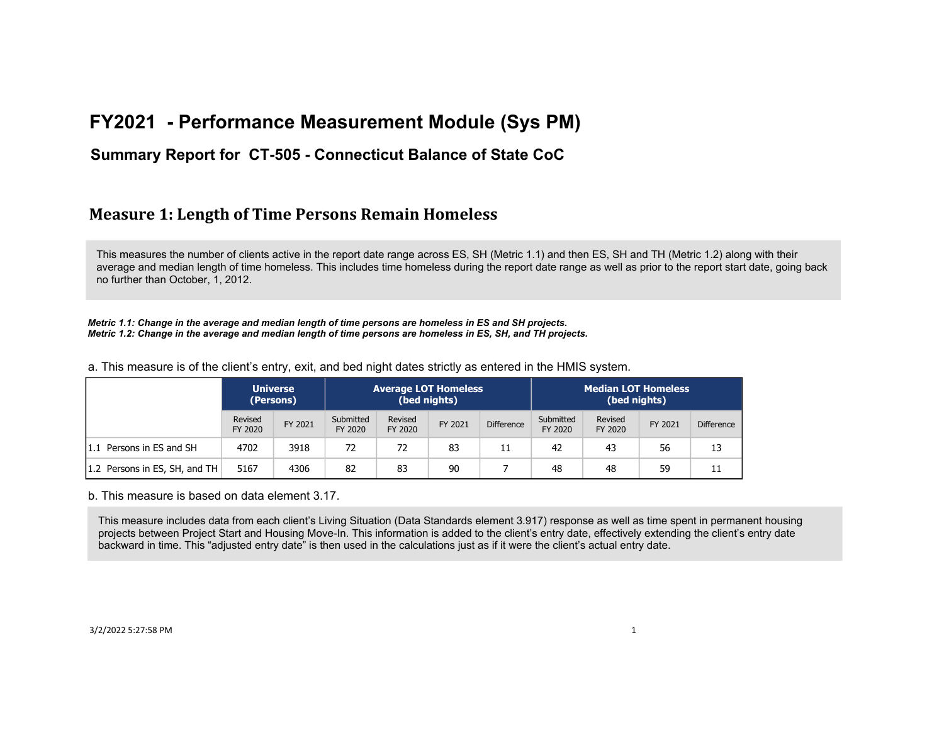### **Summary Report for CT-505 - Connecticut Balance of State CoC**

### **Measure 1: Length of Time Persons Remain Homeless**

This measures the number of clients active in the report date range across ES, SH (Metric 1.1) and then ES, SH and TH (Metric 1.2) along with their average and median length of time homeless. This includes time homeless during the report date range as well as prior to the report start date, going back no further than October, 1, 2012.

*Metric 1.1: Change in the average and median length of time persons are homeless in ES and SH projects. Metric 1.2: Change in the average and median length of time persons are homeless in ES, SH, and TH projects.*

a. This measure is of the client's entry, exit, and bed night dates strictly as entered in the HMIS system.

|                               |                    | <b>Universe</b><br>(Persons) |                      | <b>Average LOT Homeless</b><br>(bed nights) |         |                   | Median LOT Homeless<br>(bed nights) |                    |         |                   |
|-------------------------------|--------------------|------------------------------|----------------------|---------------------------------------------|---------|-------------------|-------------------------------------|--------------------|---------|-------------------|
|                               | Revised<br>FY 2020 | FY 2021                      | Submitted<br>FY 2020 | Revised<br>FY 2020                          | FY 2021 | <b>Difference</b> | Submitted<br>FY 2020                | Revised<br>FY 2020 | FY 2021 | <b>Difference</b> |
| 1.1 Persons in ES and SH      | 4702               | 3918                         | 72                   | 72                                          | 83      |                   | 42                                  | 43                 | 56      | 13                |
| 1.2 Persons in ES, SH, and TH | 5167               | 4306                         | 82                   | 83                                          | 90      |                   | 48                                  | 48                 | 59      |                   |

b. This measure is based on data element 3.17.

This measure includes data from each client's Living Situation (Data Standards element 3.917) response as well as time spent in permanent housing projects between Project Start and Housing Move-In. This information is added to the client's entry date, effectively extending the client's entry date backward in time. This "adjusted entry date" is then used in the calculations just as if it were the client's actual entry date.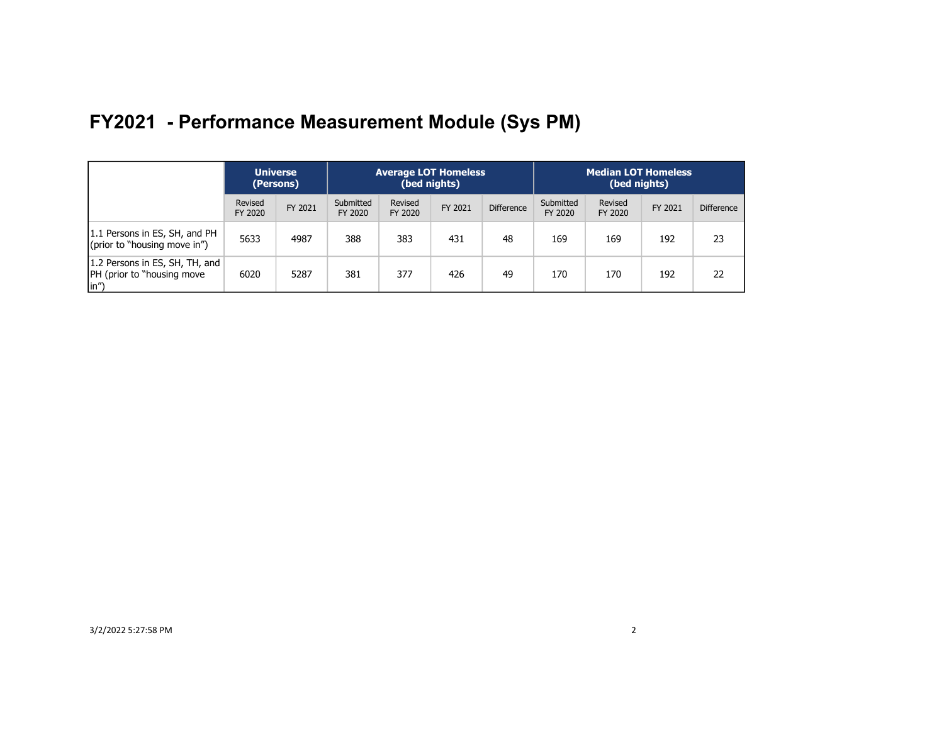|                                                                       | <b>Universe</b><br>(Persons) |         |                      | <b>Average LOT Homeless</b><br>(bed nights) |         |                   | <b>Median LOT Homeless</b><br>(bed nights) |                    |         |                   |
|-----------------------------------------------------------------------|------------------------------|---------|----------------------|---------------------------------------------|---------|-------------------|--------------------------------------------|--------------------|---------|-------------------|
|                                                                       | Revised<br>FY 2020           | FY 2021 | Submitted<br>FY 2020 | Revised<br>FY 2020                          | FY 2021 | <b>Difference</b> | Submitted<br>FY 2020                       | Revised<br>FY 2020 | FY 2021 | <b>Difference</b> |
| 1.1 Persons in ES, SH, and PH<br>(prior to "housing move in")         | 5633                         | 4987    | 388                  | 383                                         | 431     | 48                | 169                                        | 169                | 192     | 23                |
| 1.2 Persons in ES, SH, TH, and<br>[PH (prior to "housing move<br>(in" | 6020                         | 5287    | 381                  | 377                                         | 426     | 49                | 170                                        | 170                | 192     | 22                |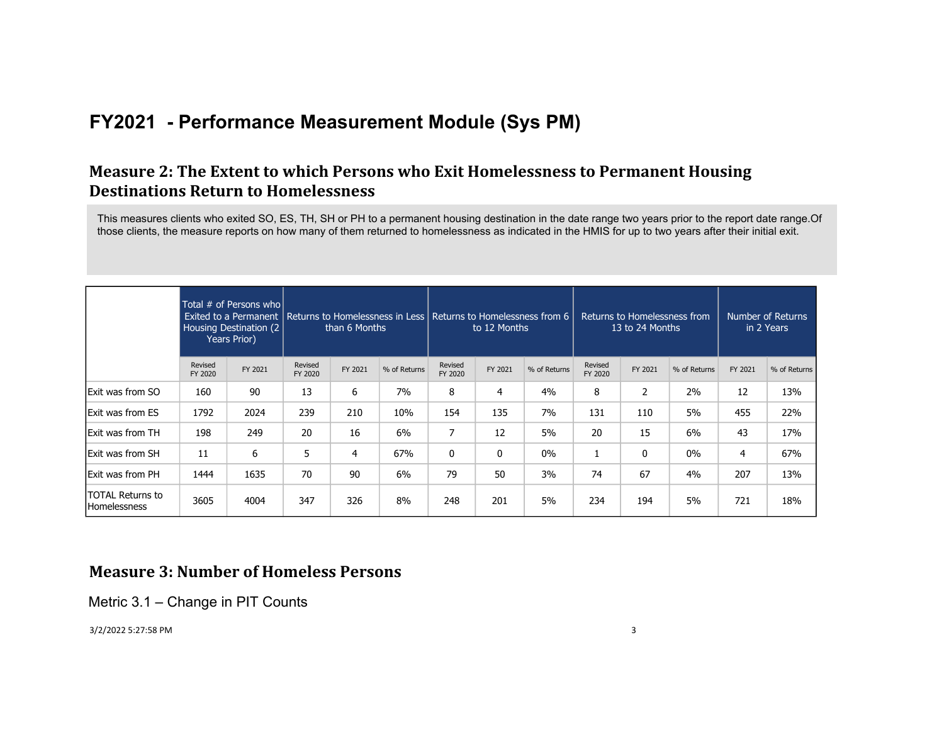### **Measure 2: The Extent to which Persons who Exit Homelessness to Permanent Housing Destinations Return to Homelessness**

This measures clients who exited SO, ES, TH, SH or PH to a permanent housing destination in the date range two years prior to the report date range.Of those clients, the measure reports on how many of them returned to homelessness as indicated in the HMIS for up to two years after their initial exit.

|                                                |                    | Total $#$ of Persons who<br>Exited to a Permanent<br>Housing Destination (2)<br><b>Years Prior)</b> |                    | than 6 Months |              |                    | Returns to Homelessness in Less   Returns to Homelessness from 6<br>Returns to Homelessness from<br>to 12 Months<br>13 to 24 Months |              |                    |         |              | Number of Returns<br>in 2 Years |              |
|------------------------------------------------|--------------------|-----------------------------------------------------------------------------------------------------|--------------------|---------------|--------------|--------------------|-------------------------------------------------------------------------------------------------------------------------------------|--------------|--------------------|---------|--------------|---------------------------------|--------------|
|                                                | Revised<br>FY 2020 | FY 2021                                                                                             | Revised<br>FY 2020 | FY 2021       | % of Returns | Revised<br>FY 2020 | FY 2021                                                                                                                             | % of Returns | Revised<br>FY 2020 | FY 2021 | % of Returns | FY 2021                         | % of Returns |
| <b>Exit was from SO</b>                        | 160                | 90                                                                                                  | 13                 | 6             | 7%           | 8                  | 4                                                                                                                                   | 4%           | 8                  | 2       | 2%           | 12                              | 13%          |
| Exit was from ES                               | 1792               | 2024                                                                                                | 239                | 210           | 10%          | 154                | 135                                                                                                                                 | 7%           | 131                | 110     | 5%           | 455                             | 22%          |
| Exit was from TH                               | 198                | 249                                                                                                 | 20                 | 16            | 6%           | 7                  | 12                                                                                                                                  | 5%           | 20                 | 15      | 6%           | 43                              | 17%          |
| Exit was from SH                               | 11                 | 6                                                                                                   | 5                  | 4             | 67%          | 0                  | 0                                                                                                                                   | $0\%$        |                    | 0       | $0\%$        | 4                               | 67%          |
| Exit was from PH                               | 1444               | 1635                                                                                                | 70                 | 90            | 6%           | 79                 | 50                                                                                                                                  | 3%           | 74                 | 67      | 4%           | 207                             | 13%          |
| <b>TOTAL Returns to</b><br><b>Homelessness</b> | 3605               | 4004                                                                                                | 347                | 326           | 8%           | 248                | 201                                                                                                                                 | 5%           | 234                | 194     | 5%           | 721                             | 18%          |

### **Measure 3: Number of Homeless Persons**

Metric 3.1 – Change in PIT Counts

3/2/2022 5:27:58 PM 3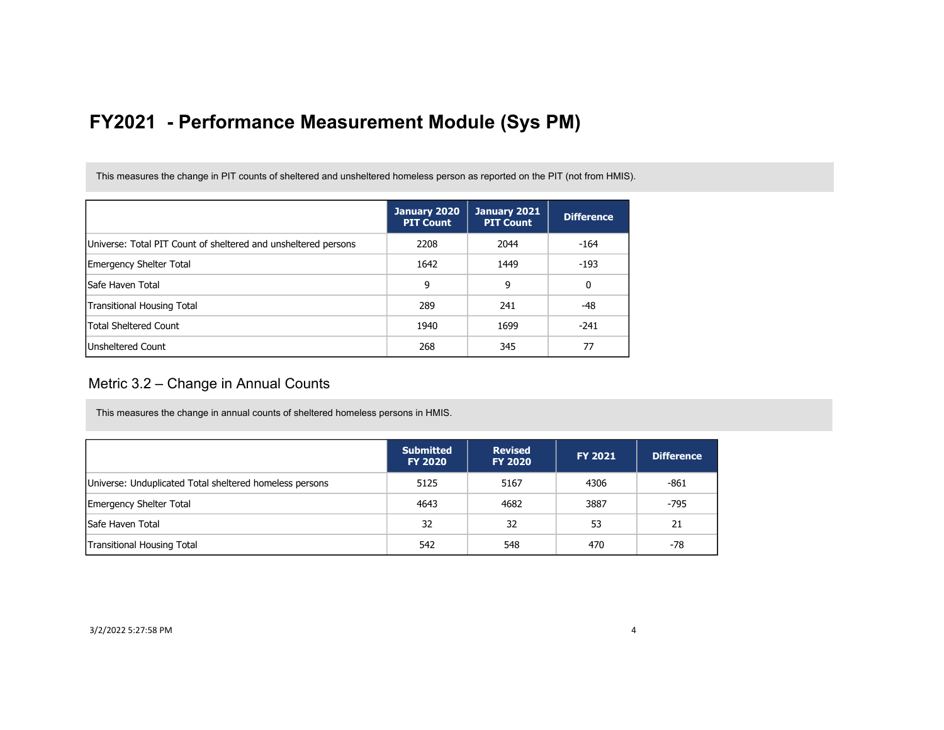This measures the change in PIT counts of sheltered and unsheltered homeless person as reported on the PIT (not from HMIS).

|                                                                | January 2020<br><b>PIT Count</b> | January 2021<br><b>PIT Count</b> | <b>Difference</b> |
|----------------------------------------------------------------|----------------------------------|----------------------------------|-------------------|
| Universe: Total PIT Count of sheltered and unsheltered persons | 2208                             | 2044                             | -164              |
| Emergency Shelter Total                                        | 1642                             | 1449                             | $-193$            |
| lSafe Haven Total                                              | 9                                | 9                                | 0                 |
| <b>Transitional Housing Total</b>                              | 289                              | 241                              | -48               |
| <b>Total Sheltered Count</b>                                   | 1940                             | 1699                             | $-241$            |
| <b>Unsheltered Count</b>                                       | 268                              | 345                              | 77                |

#### Metric 3.2 – Change in Annual Counts

This measures the change in annual counts of sheltered homeless persons in HMIS.

|                                                         | <b>Submitted</b><br><b>FY 2020</b> | <b>Revised</b><br><b>FY 2020</b> | <b>FY 2021</b> | <b>Difference</b> |
|---------------------------------------------------------|------------------------------------|----------------------------------|----------------|-------------------|
| Universe: Unduplicated Total sheltered homeless persons | 5125                               | 5167                             | 4306           | $-861$            |
| <b>Emergency Shelter Total</b>                          | 4643                               | 4682                             | 3887           | $-795$            |
| Safe Haven Total                                        | 32                                 | 32                               | 53             | 21                |
| <b>Transitional Housing Total</b>                       | 542                                | 548                              | 470            | -78               |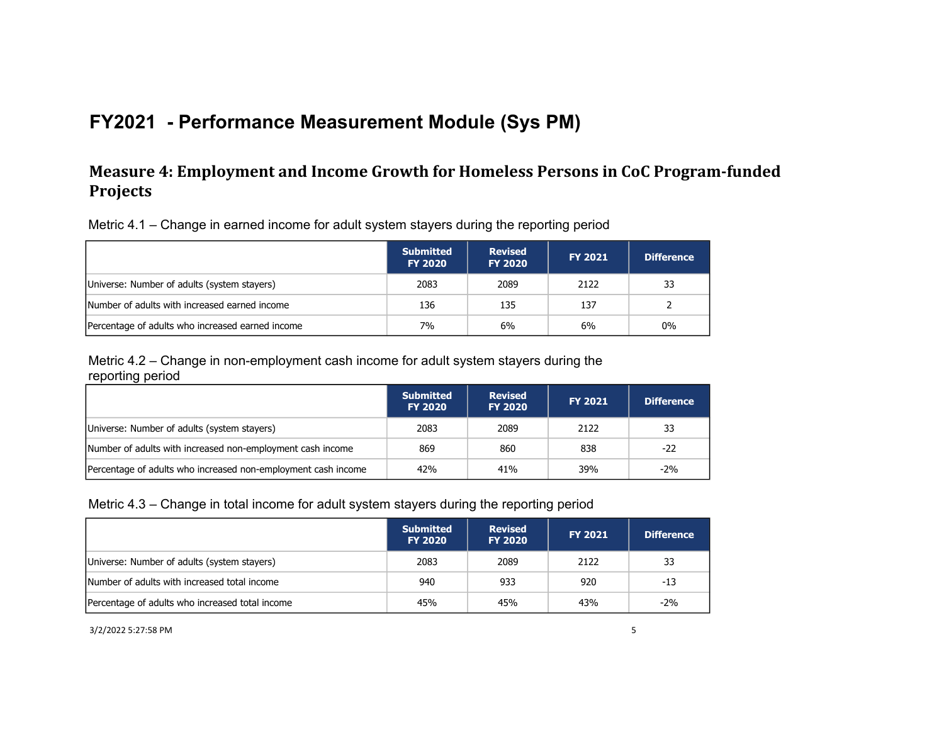### **Measure 4: Employment and Income Growth for Homeless Persons in CoC Program-funded Projects**

Metric 4.1 – Change in earned income for adult system stayers during the reporting period

|                                                  | <b>Submitted</b><br><b>FY 2020</b> | <b>Revised</b><br><b>FY 2020</b> | <b>FY 2021</b> | <b>Difference</b> |
|--------------------------------------------------|------------------------------------|----------------------------------|----------------|-------------------|
| Universe: Number of adults (system stayers)      | 2083                               | 2089                             | 2122           | 33                |
| Number of adults with increased earned income    | 136                                | 135                              | 137            |                   |
| Percentage of adults who increased earned income | 7%                                 | 6%                               | 6%             | 0%                |

Metric 4.2 – Change in non-employment cash income for adult system stayers during the reporting period

|                                                               | <b>Submitted</b><br><b>FY 2020</b> | <b>Revised</b><br><b>FY 2020</b> | <b>FY 2021</b> | <b>Difference</b> |
|---------------------------------------------------------------|------------------------------------|----------------------------------|----------------|-------------------|
| Universe: Number of adults (system stayers)                   | 2083                               | 2089                             | 2122           | 33                |
| Number of adults with increased non-employment cash income    | 869                                | 860                              | 838            | -22               |
| Percentage of adults who increased non-employment cash income | 42%                                | 41%                              | 39%            | -2%               |

#### Metric 4.3 – Change in total income for adult system stayers during the reporting period

|                                                 | <b>Submitted</b><br><b>FY 2020</b> | <b>Revised</b><br><b>FY 2020</b> | <b>FY 2021</b> | <b>Difference</b> |
|-------------------------------------------------|------------------------------------|----------------------------------|----------------|-------------------|
| Universe: Number of adults (system stayers)     | 2083                               | 2089                             | 2122           | 33                |
| Number of adults with increased total income    | 940                                | 933                              | 920            | -13               |
| Percentage of adults who increased total income | 45%                                | 45%                              | 43%            | $-2%$             |

3/2/2022 5:27:58 PM 5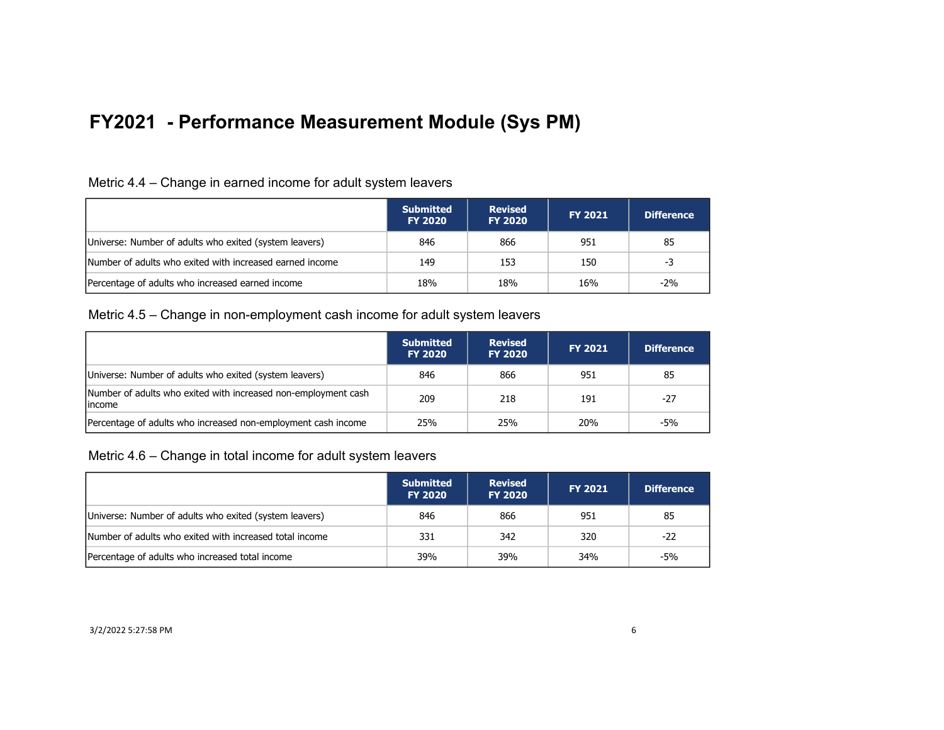| Metric 4.4 – Change in earned income for adult system leavers |  |  |  |
|---------------------------------------------------------------|--|--|--|
|                                                               |  |  |  |

|                                                          | <b>Submitted</b><br><b>FY 2020</b> | <b>Revised</b><br><b>FY 2020</b> | <b>FY 2021</b> | <b>Difference</b> |
|----------------------------------------------------------|------------------------------------|----------------------------------|----------------|-------------------|
| Universe: Number of adults who exited (system leavers)   | 846                                | 866                              | 951            | 85                |
| Number of adults who exited with increased earned income | 149                                | 153                              | 150            | -3                |
| Percentage of adults who increased earned income         | 18%                                | 18%                              | 16%            | $-2\%$            |

#### Metric 4.5 – Change in non-employment cash income for adult system leavers

|                                                                           | <b>Submitted</b><br><b>FY 2020</b> | <b>Revised</b><br><b>FY 2020</b> | <b>FY 2021</b> | <b>Difference</b> |
|---------------------------------------------------------------------------|------------------------------------|----------------------------------|----------------|-------------------|
| Universe: Number of adults who exited (system leavers)                    | 846                                | 866                              | 951            | 85                |
| Number of adults who exited with increased non-employment cash<br>lincome | 209                                | 218                              | 191            | $-27$             |
| Percentage of adults who increased non-employment cash income             | 25%                                | 25%                              | <b>20%</b>     | -5%               |

Metric 4.6 – Change in total income for adult system leavers

|                                                         | <b>Submitted</b><br><b>FY 2020</b> | <b>Revised</b><br><b>FY 2020</b> | <b>FY 2021</b> | <b>Difference</b> |
|---------------------------------------------------------|------------------------------------|----------------------------------|----------------|-------------------|
| Universe: Number of adults who exited (system leavers)  | 846                                | 866                              | 951            | 85                |
| Number of adults who exited with increased total income | 331                                | 342                              | 320            | -22               |
| Percentage of adults who increased total income         | 39%                                | 39%                              | 34%            | -5%               |

#### 3/2/2022 5:27:58 PM 6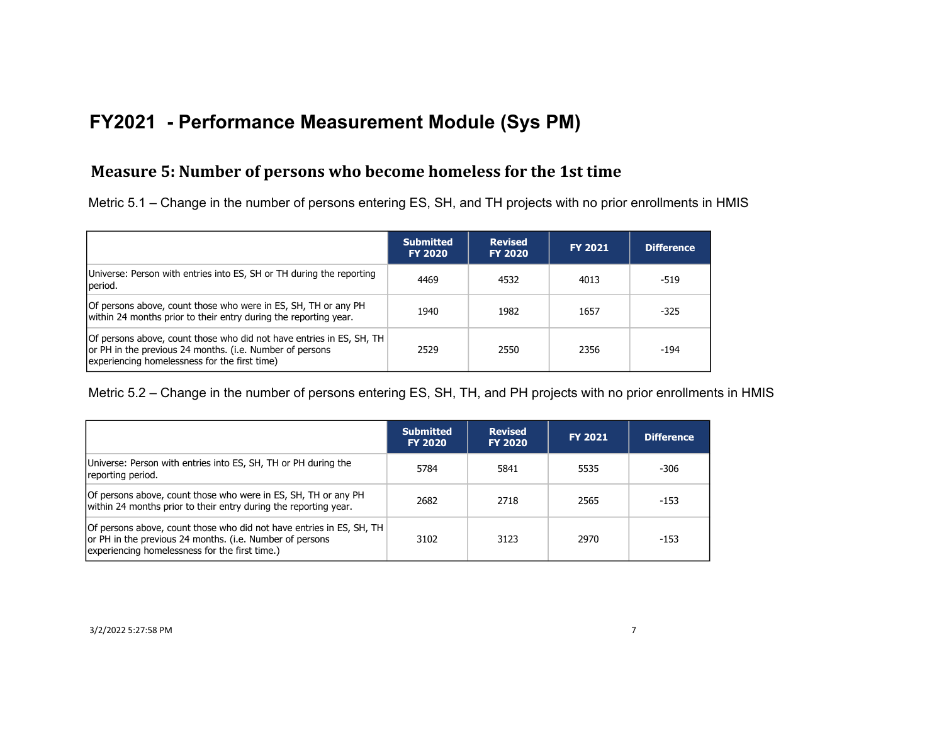### **Measure 5: Number of persons who become homeless for the 1st time**

Metric 5.1 – Change in the number of persons entering ES, SH, and TH projects with no prior enrollments in HMIS

|                                                                                                                                                                                   | <b>Submitted</b><br><b>FY 2020</b> | <b>Revised</b><br><b>FY 2020</b> | <b>FY 2021</b> | <b>Difference</b> |
|-----------------------------------------------------------------------------------------------------------------------------------------------------------------------------------|------------------------------------|----------------------------------|----------------|-------------------|
| Universe: Person with entries into ES, SH or TH during the reporting<br>period.                                                                                                   | 4469                               | 4532                             | 4013           | $-519$            |
| Of persons above, count those who were in ES, SH, TH or any PH<br>within 24 months prior to their entry during the reporting year.                                                | 1940                               | 1982                             | 1657           | $-325$            |
| Of persons above, count those who did not have entries in ES, SH, TH<br>or PH in the previous 24 months. (i.e. Number of persons<br>experiencing homelessness for the first time) | 2529                               | 2550                             | 2356           | -194              |

Metric 5.2 – Change in the number of persons entering ES, SH, TH, and PH projects with no prior enrollments in HMIS

|                                                                                                                                                                                    | <b>Submitted</b><br><b>FY 2020</b> | <b>Revised</b><br><b>FY 2020</b> | <b>FY 2021</b> | <b>Difference</b> |
|------------------------------------------------------------------------------------------------------------------------------------------------------------------------------------|------------------------------------|----------------------------------|----------------|-------------------|
| Universe: Person with entries into ES, SH, TH or PH during the<br>reporting period.                                                                                                | 5784                               | 5841                             | 5535           | -306              |
| Of persons above, count those who were in ES, SH, TH or any PH<br>within 24 months prior to their entry during the reporting year.                                                 | 2682                               | 2718                             | 2565           | $-153$            |
| Of persons above, count those who did not have entries in ES, SH, TH<br>or PH in the previous 24 months. (i.e. Number of persons<br>experiencing homelessness for the first time.) | 3102                               | 3123                             | 2970           | $-153$            |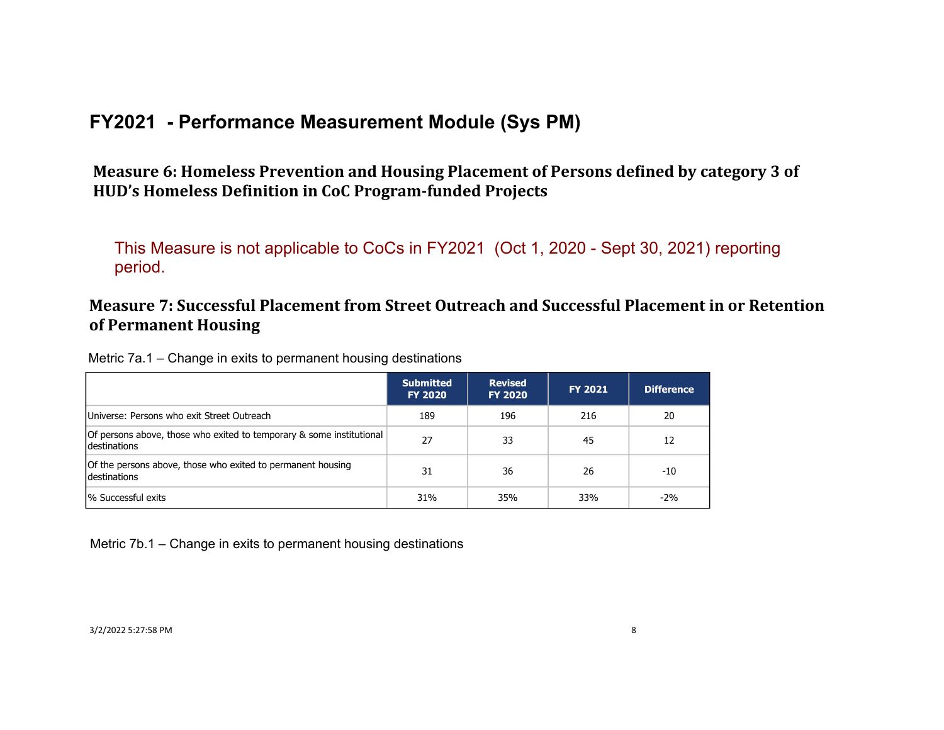Measure 6: Homeless Prevention and Housing Placement of Persons defined by category 3 of HUD's Homeless Definition in CoC Program-funded Projects

This Measure is not applicable to CoCs in FY2021 (Oct 1, 2020 - Sept 30, 2021) reporting period.

### **Measure 7: Successful Placement from Street Outreach and Successful Placement in or Retention of Permanent Housing**

| Metric 7a.1 – Change in exits to permanent housing destinations |  |  |  |
|-----------------------------------------------------------------|--|--|--|
|                                                                 |  |  |  |

|                                                                                             | <b>Submitted</b><br><b>FY 2020</b> | <b>Revised</b><br><b>FY 2020</b> | <b>FY 2021</b> | <b>Difference</b> |
|---------------------------------------------------------------------------------------------|------------------------------------|----------------------------------|----------------|-------------------|
| Universe: Persons who exit Street Outreach                                                  | 189                                | 196                              | 216            | 20                |
| Of persons above, those who exited to temporary & some institutional<br><b>destinations</b> | 27                                 | 33                               | 45             | 12                |
| Of the persons above, those who exited to permanent housing<br>destinations                 | 31                                 | 36                               | 26             | $-10$             |
| % Successful exits                                                                          | 31%                                | 35%                              | 33%            | $-2\%$            |

Metric 7b.1 – Change in exits to permanent housing destinations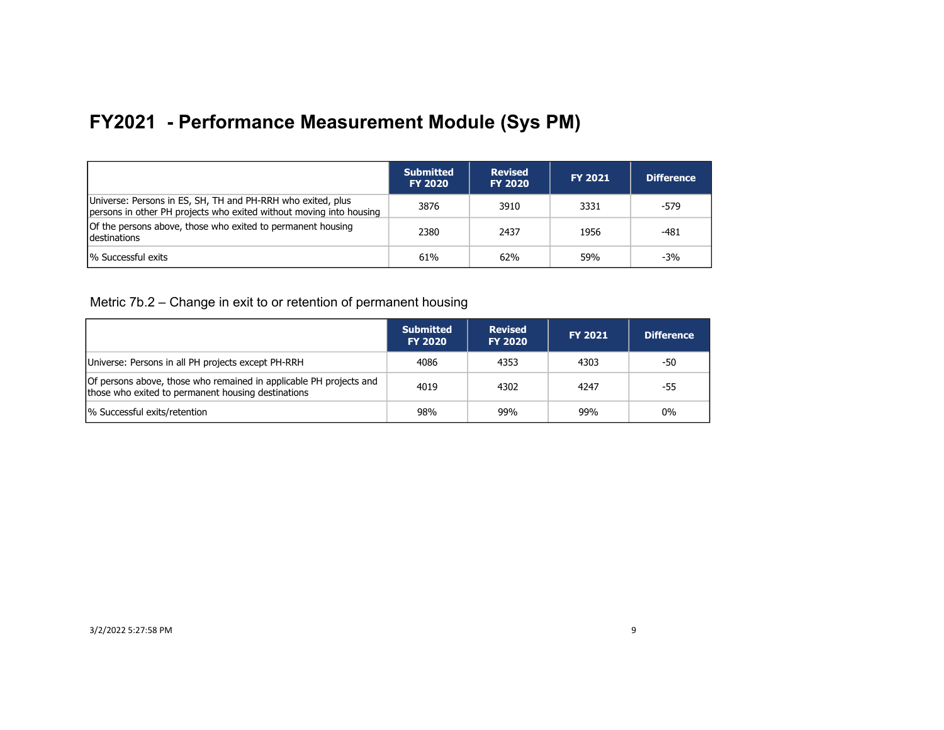|                                                                                                                                    | <b>Submitted</b><br><b>FY 2020</b> | <b>Revised</b><br><b>FY 2020</b> | <b>FY 2021</b> | <b>Difference</b> |
|------------------------------------------------------------------------------------------------------------------------------------|------------------------------------|----------------------------------|----------------|-------------------|
| Universe: Persons in ES, SH, TH and PH-RRH who exited, plus<br>persons in other PH projects who exited without moving into housing | 3876                               | 3910                             | 3331           | -579              |
| Of the persons above, those who exited to permanent housing<br><b>Idestinations</b>                                                | 2380                               | 2437                             | 1956           | -481              |
| <sup>1</sup> % Successful exits                                                                                                    | 61%                                | 62%                              | 59%            | -3%               |

Metric 7b.2 – Change in exit to or retention of permanent housing

|                                                                                                                          | <b>Submitted</b><br><b>FY 2020</b> | <b>Revised</b><br><b>FY 2020</b> | <b>FY 2021</b> | <b>Difference</b> |
|--------------------------------------------------------------------------------------------------------------------------|------------------------------------|----------------------------------|----------------|-------------------|
| Universe: Persons in all PH projects except PH-RRH                                                                       | 4086                               | 4353                             | 4303           | -50               |
| Of persons above, those who remained in applicable PH projects and<br>those who exited to permanent housing destinations | 4019                               | 4302                             | 4247           | -55               |
| % Successful exits/retention                                                                                             | 98%                                | 99%                              | 99%            | $0\%$             |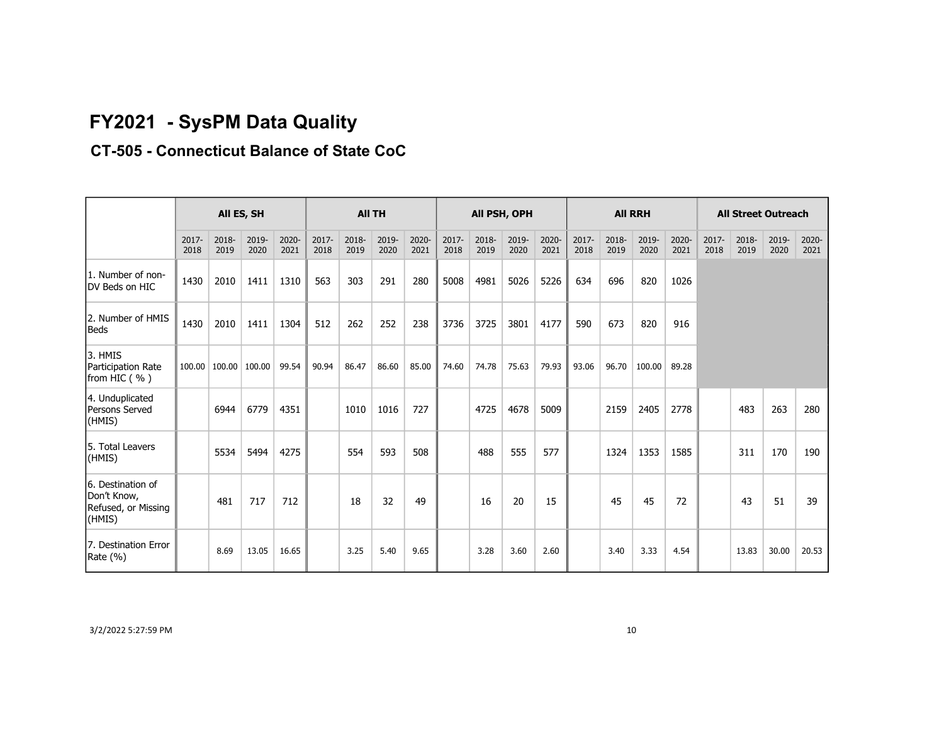# **FY2021 - SysPM Data Quality**

## **CT-505 - Connecticut Balance of State CoC**

|                                                                   | All ES, SH       |               |               | <b>All TH</b> |                  |               |               |               | All PSH, OPH  |               |               |               | <b>All RRH</b> |               |               |               | <b>All Street Outreach</b> |               |               |               |
|-------------------------------------------------------------------|------------------|---------------|---------------|---------------|------------------|---------------|---------------|---------------|---------------|---------------|---------------|---------------|----------------|---------------|---------------|---------------|----------------------------|---------------|---------------|---------------|
|                                                                   | $2017 -$<br>2018 | 2018-<br>2019 | 2019-<br>2020 | 2020-<br>2021 | $2017 -$<br>2018 | 2018-<br>2019 | 2019-<br>2020 | 2020-<br>2021 | 2017-<br>2018 | 2018-<br>2019 | 2019-<br>2020 | 2020-<br>2021 | 2017-<br>2018  | 2018-<br>2019 | 2019-<br>2020 | 2020-<br>2021 | $2017 -$<br>2018           | 2018-<br>2019 | 2019-<br>2020 | 2020-<br>2021 |
| 1. Number of non-<br>DV Beds on HIC                               | 1430             | 2010          | 1411          | 1310          | 563              | 303           | 291           | 280           | 5008          | 4981          | 5026          | 5226          | 634            | 696           | 820           | 1026          |                            |               |               |               |
| 2. Number of HMIS<br><b>Beds</b>                                  | 1430             | 2010          | 1411          | 1304          | 512              | 262           | 252           | 238           | 3736          | 3725          | 3801          | 4177          | 590            | 673           | 820           | 916           |                            |               |               |               |
| 3. HMIS<br>Participation Rate<br>from HIC (%)                     | 100.00           | 100.00        | 100.00        | 99.54         | 90.94            | 86.47         | 86.60         | 85.00         | 74.60         | 74.78         | 75.63         | 79.93         | 93.06          | 96.70         | 100.00        | 89.28         |                            |               |               |               |
| 4. Unduplicated<br><b>Persons Served</b><br>(HMIS)                |                  | 6944          | 6779          | 4351          |                  | 1010          | 1016          | 727           |               | 4725          | 4678          | 5009          |                | 2159          | 2405          | 2778          |                            | 483           | 263           | 280           |
| 5. Total Leavers<br>(HMIS)                                        |                  | 5534          | 5494          | 4275          |                  | 554           | 593           | 508           |               | 488           | 555           | 577           |                | 1324          | 1353          | 1585          |                            | 311           | 170           | 190           |
| 6. Destination of<br>Don't Know,<br>Refused, or Missing<br>(HMIS) |                  | 481           | 717           | 712           |                  | 18            | 32            | 49            |               | 16            | 20            | 15            |                | 45            | 45            | 72            |                            | 43            | 51            | 39            |
| 7. Destination Error<br>Rate (%)                                  |                  | 8.69          | 13.05         | 16.65         |                  | 3.25          | 5.40          | 9.65          |               | 3.28          | 3.60          | 2.60          |                | 3.40          | 3.33          | 4.54          |                            | 13.83         | 30.00         | 20.53         |

3/2/2022 5:27:59 PM 10